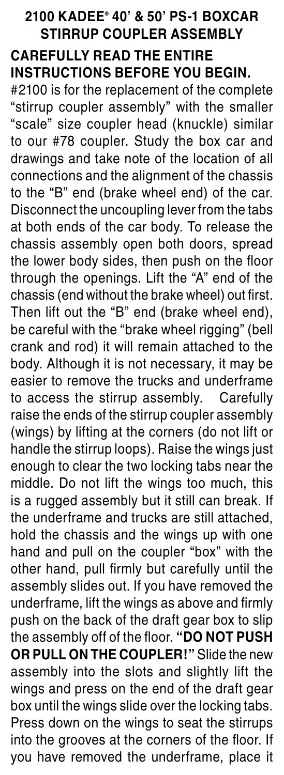## **2100 KADEE® 40' & 50' PS-1 BOXCAR Stirrup coupler Assembly CAREFULLY READ THE ENTIRE**

## **INSTRUCTIONS BEFORE YOU BEGIN.**

#2100 is for the replacement of the complete "stirrup coupler assembly" with the smaller "scale" size coupler head (knuckle) similar to our #78 coupler. Study the box car and drawings and take note of the location of all connections and the alignment of the chassis to the "B" end (brake wheel end) of the car. Disconnect the uncoupling lever from the tabs at both ends of the car body. To release the chassis assembly open both doors, spread the lower body sides, then push on the floor through the openings. Lift the "A" end of the chassis (end without the brake wheel) out first. Then lift out the "B" end (brake wheel end), be careful with the "brake wheel rigging" (bell crank and rod) it will remain attached to the body. Although it is not necessary, it may be easier to remove the trucks and underframe to access the stirrup assembly. Carefully raise the ends of the stirrup coupler assembly (wings) by lifting at the corners (do not lift or handle the stirrup loops). Raise the wings just enough to clear the two locking tabs near the middle. Do not lift the wings too much, this is a rugged assembly but it still can break. If the underframe and trucks are still attached, hold the chassis and the wings up with one hand and pull on the coupler "box" with the other hand, pull firmly but carefully until the assembly slides out. If you have removed the underframe, lift the wings as above and firmly push on the back of the draft gear box to slip the assembly off of the floor. **"DO NOT PUSH OR PULL ON THE COUPLER!"** Slide the new assembly into the slots and slightly lift the wings and press on the end of the draft gear box until the wings slide over the locking tabs. Press down on the wings to seat the stirrups into the grooves at the corners of the floor. If you have removed the underframe, place it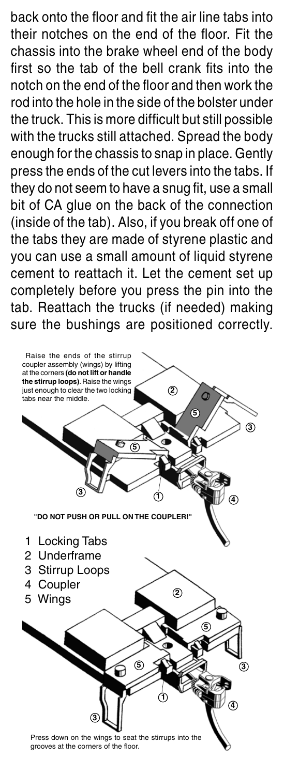back onto the floor and fit the air line tabs into their notches on the end of the floor. Fit the chassis into the brake wheel end of the body first so the tab of the bell crank fits into the notch on the end of the floor and then work the rod into the hole in the side of the bolster under the truck. This is more difficult but still possible with the trucks still attached. Spread the body enough for the chassis to snap in place. Gently press the ends of the cut levers into the tabs. If they do not seem to have a snug fit, use a small bit of CA glue on the back of the connection (inside of the tab). Also, if you break off one of the tabs they are made of styrene plastic and you can use a small amount of liquid styrene cement to reattach it. Let the cement set up completely before you press the pin into the tab. Reattach the trucks (if needed) making sure the bushings are positioned correctly.